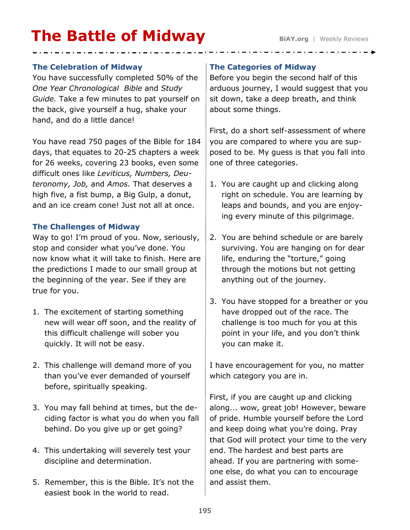# **The Battle of Midway** BiAY.org | Weekly Reviews

#### **The Celebration of Midway**

You have successfully completed 50% of the *One Year Chronological Bible* and *Study Guide.* Take a few minutes to pat yourself on the back, give yourself a hug, shake your hand, and do a little dance!

You have read 750 pages of the Bible for 184 days, that equates to 20-25 chapters a week for 26 weeks, covering 23 books, even some difficult ones like *Leviticus, Numbers, Deuteronomy, Job,* and *Amos.* That deserves a high five, a fist bump, a Big Gulp, a donut, and an ice cream cone! Just not all at once.

## **The Challenges of Midway**

Way to go! I'm proud of you. Now, seriously, stop and consider what you've done. You now know what it will take to finish. Here are the predictions I made to our small group at the beginning of the year. See if they are true for you.

- 1. The excitement of starting something new will wear off soon, and the reality of this difficult challenge will sober you quickly. It will not be easy.
- 2. This challenge will demand more of you than you've ever demanded of yourself before, spiritually speaking.
- 3. You may fall behind at times, but the deciding factor is what you do when you fall behind. Do you give up or get going?
- 4. This undertaking will severely test your discipline and determination.
- 5. Remember, this is the Bible. It's not the easiest book in the world to read.

### **The Categories of Midway**

Before you begin the second half of this arduous journey, I would suggest that you sit down, take a deep breath, and think about some things.

First, do a short self-assessment of where you are compared to where you are supposed to be. My guess is that you fall into one of three categories.

- 1. You are caught up and clicking along right on schedule. You are learning by leaps and bounds, and you are enjoying every minute of this pilgrimage.
- 2. You are behind schedule or are barely surviving. You are hanging on for dear life, enduring the "torture," going through the motions but not getting anything out of the journey.
- 3. You have stopped for a breather or you have dropped out of the race. The challenge is too much for you at this point in your life, and you don't think you can make it.

I have encouragement for you, no matter which category you are in.

First, if you are caught up and clicking along... wow, great job! However, beware of pride. Humble yourself before the Lord and keep doing what you're doing. Pray that God will protect your time to the very end. The hardest and best parts are ahead. If you are partnering with someone else, do what you can to encourage and assist them.